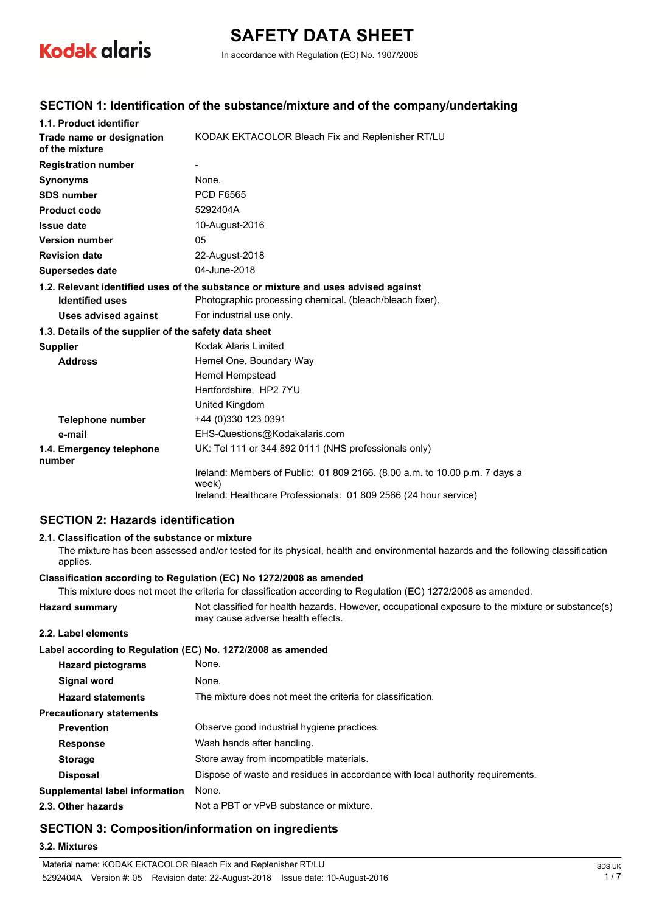

# **SAFETY DATA SHEET**

In accordance with Regulation (EC) No. 1907/2006

## **SECTION 1: Identification of the substance/mixture and of the company/undertaking**

| 1.1. Product identifier                               |                                                                                     |
|-------------------------------------------------------|-------------------------------------------------------------------------------------|
| Trade name or designation<br>of the mixture           | KODAK EKTACOLOR Bleach Fix and Replenisher RT/LU                                    |
| <b>Registration number</b>                            |                                                                                     |
| <b>Synonyms</b>                                       | None.                                                                               |
| <b>SDS number</b>                                     | <b>PCD F6565</b>                                                                    |
| <b>Product code</b>                                   | 5292404A                                                                            |
| <b>Issue date</b>                                     | 10-August-2016                                                                      |
| <b>Version number</b>                                 | 05                                                                                  |
| <b>Revision date</b>                                  | 22-August-2018                                                                      |
| <b>Supersedes date</b>                                | 04-June-2018                                                                        |
|                                                       | 1.2. Relevant identified uses of the substance or mixture and uses advised against  |
| <b>Identified uses</b>                                | Photographic processing chemical. (bleach/bleach fixer).                            |
| <b>Uses advised against</b>                           | For industrial use only.                                                            |
| 1.3. Details of the supplier of the safety data sheet |                                                                                     |
| <b>Supplier</b>                                       | Kodak Alaris Limited                                                                |
| <b>Address</b>                                        | Hemel One, Boundary Way                                                             |
|                                                       | Hemel Hempstead                                                                     |
|                                                       | Hertfordshire, HP2 7YU                                                              |
|                                                       | United Kingdom                                                                      |
| <b>Telephone number</b>                               | +44 (0)330 123 0391                                                                 |
| e-mail                                                | EHS-Questions@Kodakalaris.com                                                       |
| 1.4. Emergency telephone<br>number                    | UK: Tel 111 or 344 892 0111 (NHS professionals only)                                |
|                                                       | Ireland: Members of Public: 01 809 2166. (8.00 a.m. to 10.00 p.m. 7 days a<br>week) |
|                                                       | Ireland: Healthcare Professionals: 01 809 2566 (24 hour service)                    |

## **SECTION 2: Hazards identification**

#### **2.1. Classification of the substance or mixture**

The mixture has been assessed and/or tested for its physical, health and environmental hazards and the following classification applies.

#### **Classification according to Regulation (EC) No 1272/2008 as amended**

This mixture does not meet the criteria for classification according to Regulation (EC) 1272/2008 as amended.

**Hazard summary** Not classified for health hazards. However, occupational exposure to the mixture or substance(s) may cause adverse health effects. **2.2. Label elements Label according to Regulation (EC) No. 1272/2008 as amended**

| <b>Hazard pictograms</b>              | None.                                                                          |
|---------------------------------------|--------------------------------------------------------------------------------|
| Signal word                           | None.                                                                          |
| <b>Hazard statements</b>              | The mixture does not meet the criteria for classification.                     |
| <b>Precautionary statements</b>       |                                                                                |
| <b>Prevention</b>                     | Observe good industrial hygiene practices.                                     |
| <b>Response</b>                       | Wash hands after handling.                                                     |
| <b>Storage</b>                        | Store away from incompatible materials.                                        |
| <b>Disposal</b>                       | Dispose of waste and residues in accordance with local authority requirements. |
| <b>Supplemental label information</b> | None.                                                                          |
| 2.3. Other hazards                    | Not a PBT or vPvB substance or mixture.                                        |
|                                       |                                                                                |

## **SECTION 3: Composition/information on ingredients**

#### **3.2. Mixtures**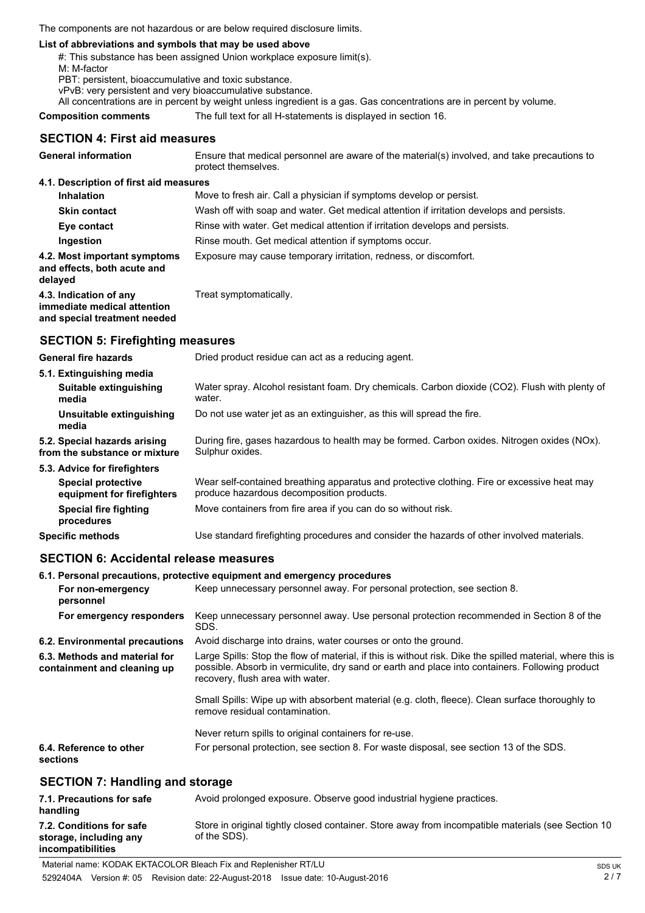The components are not hazardous or are below required disclosure limits.

#### **List of abbreviations and symbols that may be used above**

#: This substance has been assigned Union workplace exposure limit(s).

M: M-factor

PBT: persistent, bioaccumulative and toxic substance.

vPvB: very persistent and very bioaccumulative substance.

All concentrations are in percent by weight unless ingredient is a gas. Gas concentrations are in percent by volume.

**Composition comments** The full text for all H-statements is displayed in section 16.

## **SECTION 4: First aid measures**

| <b>General information</b>                                                            | Ensure that medical personnel are aware of the material(s) involved, and take precautions to<br>protect themselves. |
|---------------------------------------------------------------------------------------|---------------------------------------------------------------------------------------------------------------------|
| 4.1. Description of first aid measures                                                |                                                                                                                     |
| <b>Inhalation</b>                                                                     | Move to fresh air. Call a physician if symptoms develop or persist.                                                 |
| <b>Skin contact</b>                                                                   | Wash off with soap and water. Get medical attention if irritation develops and persists.                            |
| Eye contact                                                                           | Rinse with water. Get medical attention if irritation develops and persists.                                        |
| Ingestion                                                                             | Rinse mouth. Get medical attention if symptoms occur.                                                               |
| 4.2. Most important symptoms<br>and effects, both acute and<br>delayed                | Exposure may cause temporary irritation, redness, or discomfort.                                                    |
| 4.3. Indication of any<br>immediate medical attention<br>and special treatment needed | Treat symptomatically.                                                                                              |

## **SECTION 5: Firefighting measures**

| <b>General fire hazards</b>                                                             | Dried product residue can act as a reducing agent.                                                                                       |
|-----------------------------------------------------------------------------------------|------------------------------------------------------------------------------------------------------------------------------------------|
| 5.1. Extinguishing media<br>Suitable extinguishing<br>media                             | Water spray. Alcohol resistant foam. Dry chemicals. Carbon dioxide (CO2). Flush with plenty of<br>water.                                 |
| Unsuitable extinguishing<br>media                                                       | Do not use water jet as an extinguisher, as this will spread the fire.                                                                   |
| 5.2. Special hazards arising<br>from the substance or mixture                           | During fire, gases hazardous to health may be formed. Carbon oxides. Nitrogen oxides (NOx).<br>Sulphur oxides.                           |
| 5.3. Advice for firefighters<br><b>Special protective</b><br>equipment for firefighters | Wear self-contained breathing apparatus and protective clothing. Fire or excessive heat may<br>produce hazardous decomposition products. |
| Special fire fighting<br>procedures                                                     | Move containers from fire area if you can do so without risk.                                                                            |
| <b>Specific methods</b>                                                                 | Use standard firefighting procedures and consider the hazards of other involved materials.                                               |

### **SECTION 6: Accidental release measures**

#### **6.1. Personal precautions, protective equipment and emergency procedures**

| For non-emergency<br>personnel                               | Keep unnecessary personnel away. For personal protection, see section 8.                                                                                                                                                                          |
|--------------------------------------------------------------|---------------------------------------------------------------------------------------------------------------------------------------------------------------------------------------------------------------------------------------------------|
| For emergency responders                                     | Keep unnecessary personnel away. Use personal protection recommended in Section 8 of the<br>SDS.                                                                                                                                                  |
| 6.2. Environmental precautions                               | Avoid discharge into drains, water courses or onto the ground.                                                                                                                                                                                    |
| 6.3. Methods and material for<br>containment and cleaning up | Large Spills: Stop the flow of material, if this is without risk. Dike the spilled material, where this is<br>possible. Absorb in vermiculite, dry sand or earth and place into containers. Following product<br>recovery, flush area with water. |
|                                                              | Small Spills: Wipe up with absorbent material (e.g. cloth, fleece). Clean surface thoroughly to<br>remove residual contamination.                                                                                                                 |
|                                                              | Never return spills to original containers for re-use.                                                                                                                                                                                            |
| 6.4. Reference to other<br>sections                          | For personal protection, see section 8. For waste disposal, see section 13 of the SDS.                                                                                                                                                            |
| <b>SECTION 7: Handling and storage</b>                       |                                                                                                                                                                                                                                                   |

#### **SECTION 7: Handling and storage**

| 7.1. Precautions for safe<br>handling                                   | Avoid prolonged exposure. Observe good industrial hygiene practices.                                               |
|-------------------------------------------------------------------------|--------------------------------------------------------------------------------------------------------------------|
| 7.2. Conditions for safe<br>storage, including any<br>incompatibilities | Store in original tightly closed container. Store away from incompatible materials (see Section 10<br>of the SDS). |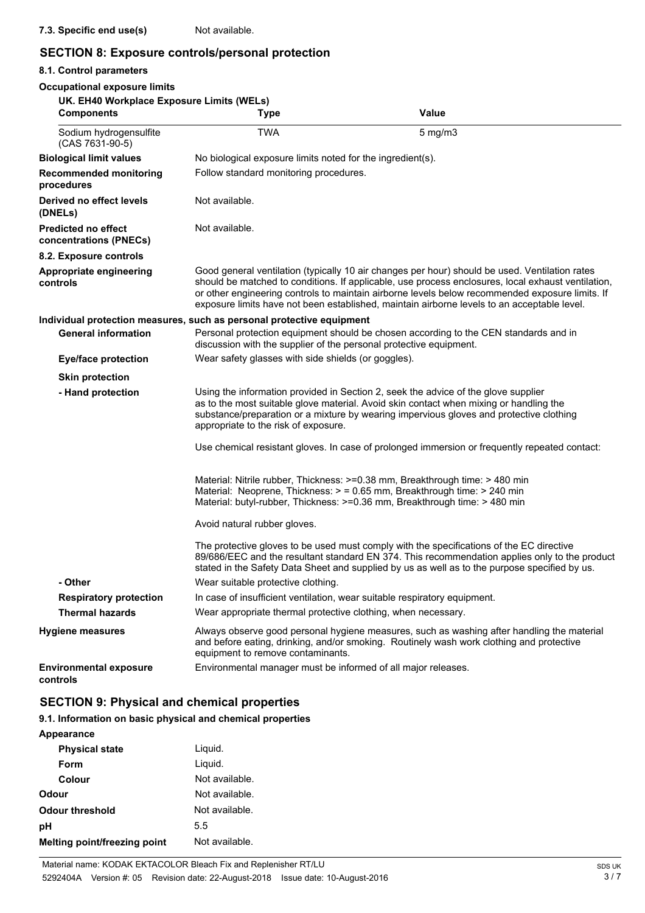## **SECTION 8: Exposure controls/personal protection**

## **8.1. Control parameters**

| <b>Occupational exposure limits</b>                            |                                                                           |                                                                                                                                                                                                                                                                                                                                                                                                        |
|----------------------------------------------------------------|---------------------------------------------------------------------------|--------------------------------------------------------------------------------------------------------------------------------------------------------------------------------------------------------------------------------------------------------------------------------------------------------------------------------------------------------------------------------------------------------|
| UK. EH40 Workplace Exposure Limits (WELs)<br><b>Components</b> | Type                                                                      | <b>Value</b>                                                                                                                                                                                                                                                                                                                                                                                           |
| Sodium hydrogensulfite<br>(CAS 7631-90-5)                      | <b>TWA</b>                                                                | $5$ mg/m $3$                                                                                                                                                                                                                                                                                                                                                                                           |
| <b>Biological limit values</b>                                 | No biological exposure limits noted for the ingredient(s).                |                                                                                                                                                                                                                                                                                                                                                                                                        |
| <b>Recommended monitoring</b><br>procedures                    | Follow standard monitoring procedures.                                    |                                                                                                                                                                                                                                                                                                                                                                                                        |
| Derived no effect levels<br>(DNELs)                            | Not available.                                                            |                                                                                                                                                                                                                                                                                                                                                                                                        |
| <b>Predicted no effect</b><br>concentrations (PNECs)           | Not available.                                                            |                                                                                                                                                                                                                                                                                                                                                                                                        |
| 8.2. Exposure controls                                         |                                                                           |                                                                                                                                                                                                                                                                                                                                                                                                        |
| <b>Appropriate engineering</b><br>controls                     |                                                                           | Good general ventilation (typically 10 air changes per hour) should be used. Ventilation rates<br>should be matched to conditions. If applicable, use process enclosures, local exhaust ventilation,<br>or other engineering controls to maintain airborne levels below recommended exposure limits. If<br>exposure limits have not been established, maintain airborne levels to an acceptable level. |
|                                                                | Individual protection measures, such as personal protective equipment     |                                                                                                                                                                                                                                                                                                                                                                                                        |
| <b>General information</b>                                     | discussion with the supplier of the personal protective equipment.        | Personal protection equipment should be chosen according to the CEN standards and in                                                                                                                                                                                                                                                                                                                   |
| <b>Eye/face protection</b>                                     | Wear safety glasses with side shields (or goggles).                       |                                                                                                                                                                                                                                                                                                                                                                                                        |
| <b>Skin protection</b>                                         |                                                                           |                                                                                                                                                                                                                                                                                                                                                                                                        |
| - Hand protection                                              | appropriate to the risk of exposure.                                      | Using the information provided in Section 2, seek the advice of the glove supplier<br>as to the most suitable glove material. Avoid skin contact when mixing or handling the<br>substance/preparation or a mixture by wearing impervious gloves and protective clothing                                                                                                                                |
|                                                                |                                                                           | Use chemical resistant gloves. In case of prolonged immersion or frequently repeated contact:                                                                                                                                                                                                                                                                                                          |
|                                                                |                                                                           | Material: Nitrile rubber, Thickness: >=0.38 mm, Breakthrough time: > 480 min<br>Material: Neoprene, Thickness: > = 0.65 mm, Breakthrough time: > 240 min<br>Material: butyl-rubber, Thickness: >=0.36 mm, Breakthrough time: > 480 min                                                                                                                                                                 |
|                                                                | Avoid natural rubber gloves.                                              |                                                                                                                                                                                                                                                                                                                                                                                                        |
|                                                                |                                                                           | The protective gloves to be used must comply with the specifications of the EC directive<br>89/686/EEC and the resultant standard EN 374. This recommendation applies only to the product<br>stated in the Safety Data Sheet and supplied by us as well as to the purpose specified by us.                                                                                                             |
| - Other                                                        | Wear suitable protective clothing.                                        |                                                                                                                                                                                                                                                                                                                                                                                                        |
| <b>Respiratory protection</b>                                  | In case of insufficient ventilation, wear suitable respiratory equipment. |                                                                                                                                                                                                                                                                                                                                                                                                        |
| <b>Thermal hazards</b>                                         | Wear appropriate thermal protective clothing, when necessary.             |                                                                                                                                                                                                                                                                                                                                                                                                        |
| <b>Hygiene measures</b>                                        | equipment to remove contaminants.                                         | Always observe good personal hygiene measures, such as washing after handling the material<br>and before eating, drinking, and/or smoking. Routinely wash work clothing and protective                                                                                                                                                                                                                 |
| <b>Environmental exposure</b><br>controls                      | Environmental manager must be informed of all major releases.             |                                                                                                                                                                                                                                                                                                                                                                                                        |

## **SECTION 9: Physical and chemical properties**

## **9.1. Information on basic physical and chemical properties**

| <b>Appearance</b> |  |
|-------------------|--|
|-------------------|--|

| <b>Physical state</b>        | Liguid.        |
|------------------------------|----------------|
| Form                         | Liguid.        |
| Colour                       | Not available. |
| Odour                        | Not available. |
| Odour threshold              | Not available. |
| рH                           | 5.5            |
| Melting point/freezing point | Not available. |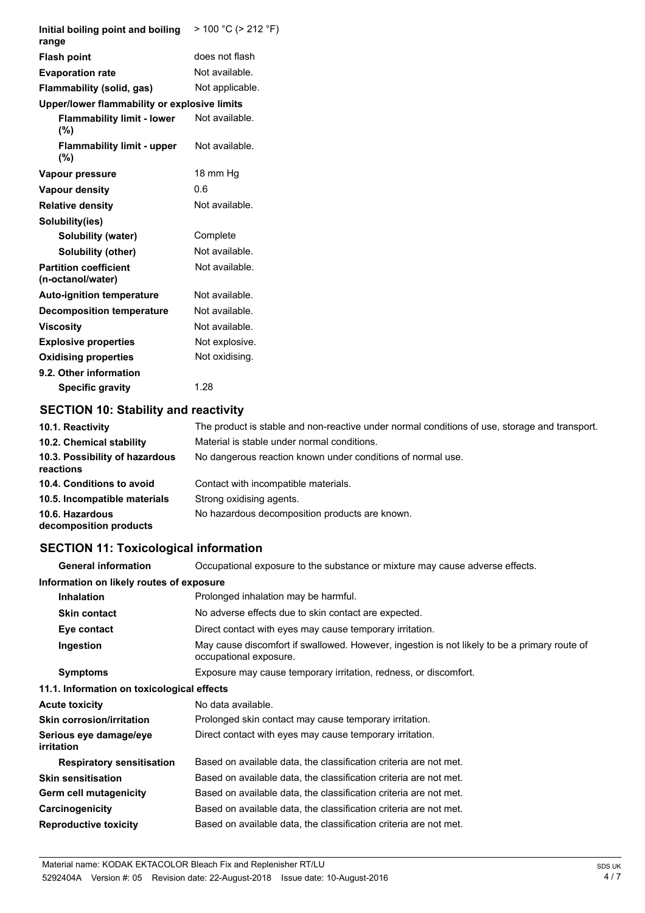| Initial boiling point and boiling<br>range        | $> 100 °C$ ( $> 212 °F$ ) |
|---------------------------------------------------|---------------------------|
| <b>Flash point</b>                                | does not flash            |
| <b>Evaporation rate</b>                           | Not available.            |
| Flammability (solid, gas)                         | Not applicable.           |
| Upper/lower flammability or explosive limits      |                           |
| <b>Flammability limit - lower</b><br>(%)          | Not available.            |
| <b>Flammability limit - upper</b><br>(%)          | Not available.            |
| Vapour pressure                                   | 18 mm Hg                  |
| Vapour density                                    | 0.6                       |
| <b>Relative density</b>                           | Not available.            |
| Solubility(ies)                                   |                           |
| Solubility (water)                                | Complete                  |
| Solubility (other)                                | Not available.            |
| <b>Partition coefficient</b><br>(n-octanol/water) | Not available.            |
| <b>Auto-ignition temperature</b>                  | Not available.            |
| <b>Decomposition temperature</b>                  | Not available.            |
| <b>Viscosity</b>                                  | Not available.            |
| <b>Explosive properties</b>                       | Not explosive.            |
| <b>Oxidising properties</b>                       | Not oxidising.            |
| 9.2. Other information                            |                           |
| <b>Specific gravity</b>                           | 1.28                      |

## **SECTION 10: Stability and reactivity**

| 10.1. Reactivity                            | The product is stable and non-reactive under normal conditions of use, storage and transport. |
|---------------------------------------------|-----------------------------------------------------------------------------------------------|
| 10.2. Chemical stability                    | Material is stable under normal conditions.                                                   |
| 10.3. Possibility of hazardous<br>reactions | No dangerous reaction known under conditions of normal use.                                   |
| 10.4. Conditions to avoid                   | Contact with incompatible materials.                                                          |
| 10.5. Incompatible materials                | Strong oxidising agents.                                                                      |
| 10.6. Hazardous<br>decomposition products   | No hazardous decomposition products are known.                                                |

## **SECTION 11: Toxicological information**

**General information** Occupational exposure to the substance or mixture may cause adverse effects.

| Information on likely routes of exposure    |                                                                                                                        |  |
|---------------------------------------------|------------------------------------------------------------------------------------------------------------------------|--|
| <b>Inhalation</b>                           | Prolonged inhalation may be harmful.                                                                                   |  |
| <b>Skin contact</b>                         | No adverse effects due to skin contact are expected.                                                                   |  |
| Eye contact                                 | Direct contact with eyes may cause temporary irritation.                                                               |  |
| Ingestion                                   | May cause discomfort if swallowed. However, ingestion is not likely to be a primary route of<br>occupational exposure. |  |
| <b>Symptoms</b>                             | Exposure may cause temporary irritation, redness, or discomfort.                                                       |  |
| 11.1. Information on toxicological effects  |                                                                                                                        |  |
| <b>Acute toxicity</b>                       | No data available.                                                                                                     |  |
| <b>Skin corrosion/irritation</b>            | Prolonged skin contact may cause temporary irritation.                                                                 |  |
| Serious eye damage/eye<br><i>irritation</i> | Direct contact with eyes may cause temporary irritation.                                                               |  |
| <b>Respiratory sensitisation</b>            | Based on available data, the classification criteria are not met.                                                      |  |
| <b>Skin sensitisation</b>                   | Based on available data, the classification criteria are not met.                                                      |  |
| Germ cell mutagenicity                      | Based on available data, the classification criteria are not met.                                                      |  |
| Carcinogenicity                             | Based on available data, the classification criteria are not met.                                                      |  |
| <b>Reproductive toxicity</b>                | Based on available data, the classification criteria are not met.                                                      |  |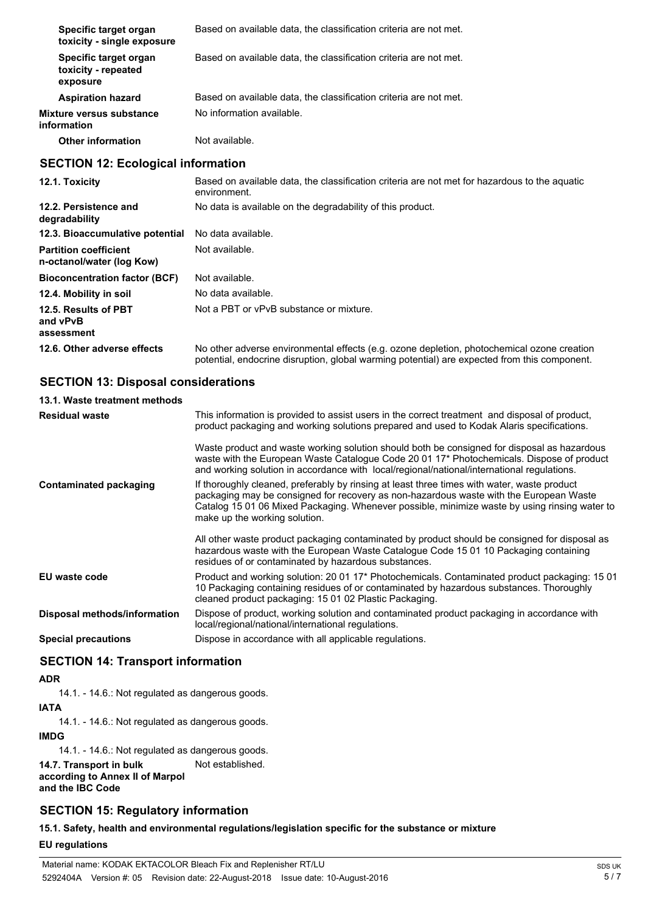| Specific target organ<br>toxicity - single exposure       | Based on available data, the classification criteria are not met.                                                                                                                          |  |  |
|-----------------------------------------------------------|--------------------------------------------------------------------------------------------------------------------------------------------------------------------------------------------|--|--|
| Specific target organ<br>toxicity - repeated<br>exposure  | Based on available data, the classification criteria are not met.                                                                                                                          |  |  |
| <b>Aspiration hazard</b>                                  | Based on available data, the classification criteria are not met.                                                                                                                          |  |  |
| Mixture versus substance<br>information                   | No information available.                                                                                                                                                                  |  |  |
| <b>Other information</b>                                  | Not available.                                                                                                                                                                             |  |  |
| <b>SECTION 12: Ecological information</b>                 |                                                                                                                                                                                            |  |  |
| 12.1. Toxicity                                            | Based on available data, the classification criteria are not met for hazardous to the aquatic<br>environment.                                                                              |  |  |
| 12.2. Persistence and<br>degradability                    | No data is available on the degradability of this product.                                                                                                                                 |  |  |
| 12.3. Bioaccumulative potential                           | No data available.                                                                                                                                                                         |  |  |
| <b>Partition coefficient</b><br>n-octanol/water (log Kow) | Not available.                                                                                                                                                                             |  |  |
| <b>Bioconcentration factor (BCF)</b>                      | Not available.                                                                                                                                                                             |  |  |
| 12.4. Mobility in soil                                    | No data available.                                                                                                                                                                         |  |  |
| 12.5. Results of PBT<br>and vPvB<br>assessment            | Not a PBT or vPvB substance or mixture.                                                                                                                                                    |  |  |
| 12.6. Other adverse effects                               | No other adverse environmental effects (e.g. ozone depletion, photochemical ozone creation<br>potential, endocrine disruption, global warming potential) are expected from this component. |  |  |
| <b>SECTION 13: Disposal considerations</b>                |                                                                                                                                                                                            |  |  |

| 13.1. Waste treatment methods |                                                                                                                                                                                                                                                                                                                         |  |  |
|-------------------------------|-------------------------------------------------------------------------------------------------------------------------------------------------------------------------------------------------------------------------------------------------------------------------------------------------------------------------|--|--|
| <b>Residual waste</b>         | This information is provided to assist users in the correct treatment and disposal of product,<br>product packaging and working solutions prepared and used to Kodak Alaris specifications.                                                                                                                             |  |  |
|                               | Waste product and waste working solution should both be consigned for disposal as hazardous<br>waste with the European Waste Catalogue Code 20 01 17* Photochemicals. Dispose of product<br>and working solution in accordance with local/regional/national/international regulations.                                  |  |  |
| Contaminated packaging        | If thoroughly cleaned, preferably by rinsing at least three times with water, waste product<br>packaging may be consigned for recovery as non-hazardous waste with the European Waste<br>Catalog 15 01 06 Mixed Packaging. Whenever possible, minimize waste by using rinsing water to<br>make up the working solution. |  |  |
|                               | All other waste product packaging contaminated by product should be consigned for disposal as<br>hazardous waste with the European Waste Catalogue Code 15 01 10 Packaging containing<br>residues of or contaminated by hazardous substances.                                                                           |  |  |
| EU waste code                 | Product and working solution: 20 01 17* Photochemicals. Contaminated product packaging: 15 01<br>10 Packaging containing residues of or contaminated by hazardous substances. Thoroughly<br>cleaned product packaging: 15 01 02 Plastic Packaging.                                                                      |  |  |
| Disposal methods/information  | Dispose of product, working solution and contaminated product packaging in accordance with<br>local/regional/national/international regulations.                                                                                                                                                                        |  |  |

**Special precautions** Dispose in accordance with all applicable regulations.

## **SECTION 14: Transport information**

## **ADR**

14.1. - 14.6.: Not regulated as dangerous goods.

## **IATA**

14.1. - 14.6.: Not regulated as dangerous goods.

#### **IMDG**

14.1. - 14.6.: Not regulated as dangerous goods.

**14.7. Transport in bulk** Not established. **according to Annex II of Marpol and the IBC Code**

## **SECTION 15: Regulatory information**

**15.1. Safety, health and environmental regulations/legislation specific for the substance or mixture**

### **EU regulations**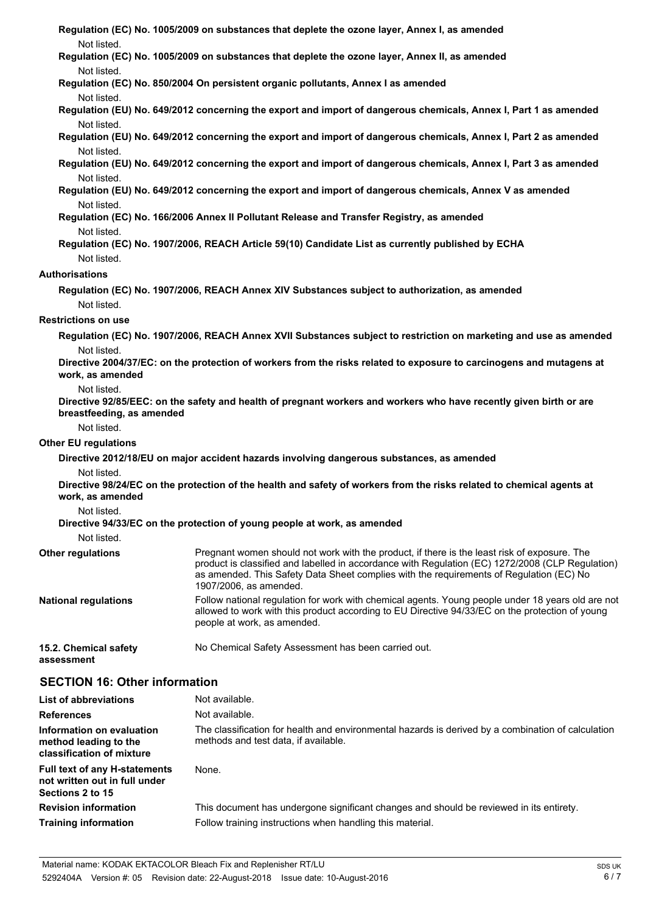| Not listed.                                                                                      | Regulation (EC) No. 1005/2009 on substances that deplete the ozone layer, Annex I, as amended                                                                                                                                                                                                                         |  |  |  |  |
|--------------------------------------------------------------------------------------------------|-----------------------------------------------------------------------------------------------------------------------------------------------------------------------------------------------------------------------------------------------------------------------------------------------------------------------|--|--|--|--|
|                                                                                                  | Regulation (EC) No. 1005/2009 on substances that deplete the ozone layer, Annex II, as amended<br>Not listed.                                                                                                                                                                                                         |  |  |  |  |
| Regulation (EC) No. 850/2004 On persistent organic pollutants, Annex I as amended<br>Not listed. |                                                                                                                                                                                                                                                                                                                       |  |  |  |  |
| Not listed.                                                                                      | Regulation (EU) No. 649/2012 concerning the export and import of dangerous chemicals, Annex I, Part 1 as amended                                                                                                                                                                                                      |  |  |  |  |
| Not listed.                                                                                      | Regulation (EU) No. 649/2012 concerning the export and import of dangerous chemicals, Annex I, Part 2 as amended                                                                                                                                                                                                      |  |  |  |  |
| Not listed.                                                                                      | Regulation (EU) No. 649/2012 concerning the export and import of dangerous chemicals, Annex I, Part 3 as amended                                                                                                                                                                                                      |  |  |  |  |
| Not listed.                                                                                      | Regulation (EU) No. 649/2012 concerning the export and import of dangerous chemicals, Annex V as amended                                                                                                                                                                                                              |  |  |  |  |
|                                                                                                  | Regulation (EC) No. 166/2006 Annex II Pollutant Release and Transfer Registry, as amended                                                                                                                                                                                                                             |  |  |  |  |
| Not listed.<br>Not listed.                                                                       | Regulation (EC) No. 1907/2006, REACH Article 59(10) Candidate List as currently published by ECHA                                                                                                                                                                                                                     |  |  |  |  |
| <b>Authorisations</b>                                                                            |                                                                                                                                                                                                                                                                                                                       |  |  |  |  |
| Not listed.                                                                                      | Regulation (EC) No. 1907/2006, REACH Annex XIV Substances subject to authorization, as amended                                                                                                                                                                                                                        |  |  |  |  |
| <b>Restrictions on use</b>                                                                       |                                                                                                                                                                                                                                                                                                                       |  |  |  |  |
|                                                                                                  | Regulation (EC) No. 1907/2006, REACH Annex XVII Substances subject to restriction on marketing and use as amended                                                                                                                                                                                                     |  |  |  |  |
| Not listed.                                                                                      |                                                                                                                                                                                                                                                                                                                       |  |  |  |  |
| work, as amended                                                                                 | Directive 2004/37/EC: on the protection of workers from the risks related to exposure to carcinogens and mutagens at                                                                                                                                                                                                  |  |  |  |  |
| Not listed.<br>breastfeeding, as amended                                                         | Directive 92/85/EEC: on the safety and health of pregnant workers and workers who have recently given birth or are                                                                                                                                                                                                    |  |  |  |  |
| Not listed.                                                                                      |                                                                                                                                                                                                                                                                                                                       |  |  |  |  |
| <b>Other EU regulations</b>                                                                      |                                                                                                                                                                                                                                                                                                                       |  |  |  |  |
|                                                                                                  | Directive 2012/18/EU on major accident hazards involving dangerous substances, as amended                                                                                                                                                                                                                             |  |  |  |  |
| Not listed.<br>work, as amended                                                                  | Directive 98/24/EC on the protection of the health and safety of workers from the risks related to chemical agents at                                                                                                                                                                                                 |  |  |  |  |
| Not listed.                                                                                      |                                                                                                                                                                                                                                                                                                                       |  |  |  |  |
|                                                                                                  | Directive 94/33/EC on the protection of young people at work, as amended                                                                                                                                                                                                                                              |  |  |  |  |
| Not listed.                                                                                      |                                                                                                                                                                                                                                                                                                                       |  |  |  |  |
| <b>Other regulations</b>                                                                         | Pregnant women should not work with the product, if there is the least risk of exposure. The<br>product is classified and labelled in accordance with Regulation (EC) 1272/2008 (CLP Regulation)<br>as amended. This Safety Data Sheet complies with the requirements of Regulation (EC) No<br>1907/2006, as amended. |  |  |  |  |
| <b>National regulations</b>                                                                      | Follow national regulation for work with chemical agents. Young people under 18 years old are not<br>allowed to work with this product according to EU Directive 94/33/EC on the protection of young<br>people at work, as amended.                                                                                   |  |  |  |  |
| 15.2. Chemical safety<br>assessment                                                              | No Chemical Safety Assessment has been carried out.                                                                                                                                                                                                                                                                   |  |  |  |  |
| <b>SECTION 16: Other information</b>                                                             |                                                                                                                                                                                                                                                                                                                       |  |  |  |  |
| <b>List of abbreviations</b>                                                                     | Not available.                                                                                                                                                                                                                                                                                                        |  |  |  |  |
| <b>References</b>                                                                                | Not available.                                                                                                                                                                                                                                                                                                        |  |  |  |  |
| Information on evaluation<br>method leading to the<br>classification of mixture                  | The classification for health and environmental hazards is derived by a combination of calculation<br>methods and test data, if available.                                                                                                                                                                            |  |  |  |  |

| <b>Full text of any H-statements</b><br>not written out in full under<br>Sections 2 to 15 | None.                                                                                   |
|-------------------------------------------------------------------------------------------|-----------------------------------------------------------------------------------------|
| <b>Revision information</b>                                                               | This document has undergone significant changes and should be reviewed in its entirety. |
| <b>Training information</b>                                                               | Follow training instructions when handling this material.                               |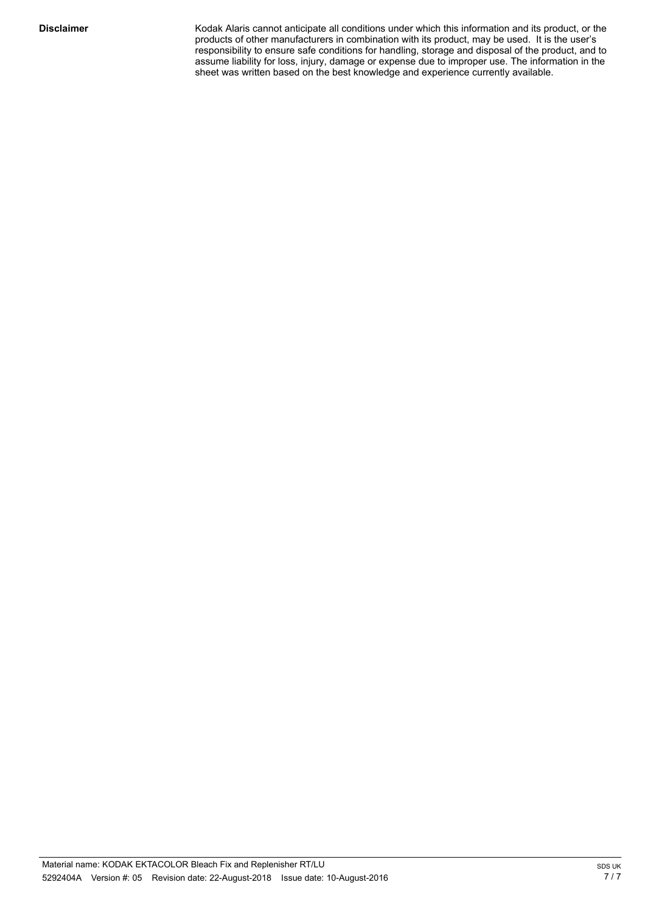Kodak Alaris cannot anticipate all conditions under which this information and its product, or the products of other manufacturers in combination with its product, may be used. It is the user's responsibility to ensure safe conditions for handling, storage and disposal of the product, and to assume liability for loss, injury, damage or expense due to improper use. The information in the sheet was written based on the best knowledge and experience currently available.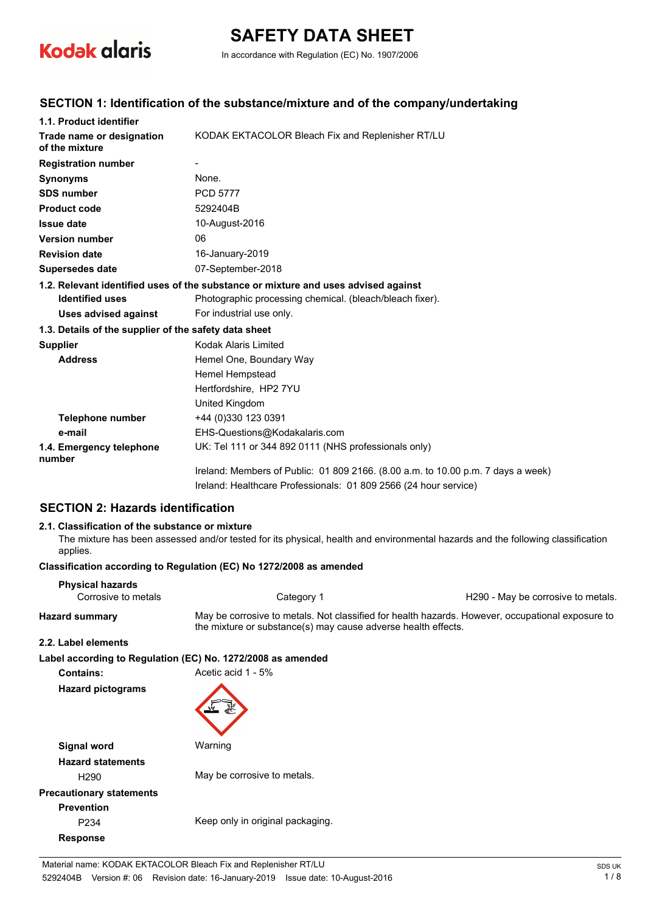

# **SAFETY DATA SHEET**

In accordance with Regulation (EC) No. 1907/2006

## **SECTION 1: Identification of the substance/mixture and of the company/undertaking**

| 1.1. Product identifier                                                            |                                                                                  |  |  |
|------------------------------------------------------------------------------------|----------------------------------------------------------------------------------|--|--|
| Trade name or designation<br>of the mixture                                        | KODAK EKTACOLOR Bleach Fix and Replenisher RT/LU                                 |  |  |
| <b>Registration number</b>                                                         |                                                                                  |  |  |
| <b>Synonyms</b>                                                                    | None.                                                                            |  |  |
| <b>SDS number</b>                                                                  | <b>PCD 5777</b>                                                                  |  |  |
| <b>Product code</b>                                                                | 5292404B                                                                         |  |  |
| <b>Issue date</b>                                                                  | 10-August-2016                                                                   |  |  |
| <b>Version number</b>                                                              | 06                                                                               |  |  |
| <b>Revision date</b>                                                               | 16-January-2019                                                                  |  |  |
| Supersedes date                                                                    | 07-September-2018                                                                |  |  |
| 1.2. Relevant identified uses of the substance or mixture and uses advised against |                                                                                  |  |  |
| <b>Identified uses</b>                                                             | Photographic processing chemical. (bleach/bleach fixer).                         |  |  |
| <b>Uses advised against</b>                                                        | For industrial use only.                                                         |  |  |
| 1.3. Details of the supplier of the safety data sheet                              |                                                                                  |  |  |
| <b>Supplier</b>                                                                    | Kodak Alaris Limited                                                             |  |  |
| <b>Address</b>                                                                     | Hemel One, Boundary Way                                                          |  |  |
|                                                                                    | Hemel Hempstead                                                                  |  |  |
|                                                                                    | Hertfordshire, HP2 7YU                                                           |  |  |
|                                                                                    | United Kingdom                                                                   |  |  |
| <b>Telephone number</b>                                                            | +44 (0)330 123 0391                                                              |  |  |
| e-mail                                                                             | EHS-Questions@Kodakalaris.com                                                    |  |  |
| 1.4. Emergency telephone<br>number                                                 | UK: Tel 111 or 344 892 0111 (NHS professionals only)                             |  |  |
|                                                                                    | Ireland: Members of Public: 01 809 2166. (8.00 a.m. to 10.00 p.m. 7 days a week) |  |  |
|                                                                                    | Ireland: Healthcare Professionals: 01 809 2566 (24 hour service)                 |  |  |

## **SECTION 2: Hazards identification**

#### **2.1. Classification of the substance or mixture**

The mixture has been assessed and/or tested for its physical, health and environmental hazards and the following classification applies.

#### **Classification according to Regulation (EC) No 1272/2008 as amended**

| <b>Physical hazards</b><br>Corrosive to metals | Category 1                                                                                                                                                        | H290 - May be corrosive to metals. |  |
|------------------------------------------------|-------------------------------------------------------------------------------------------------------------------------------------------------------------------|------------------------------------|--|
| <b>Hazard summary</b>                          | May be corrosive to metals. Not classified for health hazards. However, occupational exposure to<br>the mixture or substance(s) may cause adverse health effects. |                                    |  |
| 2.2. Label elements                            |                                                                                                                                                                   |                                    |  |
|                                                | Label according to Regulation (EC) No. 1272/2008 as amended                                                                                                       |                                    |  |
| <b>Contains:</b>                               | Acetic acid 1 - 5%                                                                                                                                                |                                    |  |
| <b>Hazard pictograms</b>                       |                                                                                                                                                                   |                                    |  |
| Signal word                                    | Warning                                                                                                                                                           |                                    |  |
| <b>Hazard statements</b>                       |                                                                                                                                                                   |                                    |  |
| H <sub>290</sub>                               | May be corrosive to metals.                                                                                                                                       |                                    |  |
| <b>Precautionary statements</b>                |                                                                                                                                                                   |                                    |  |
| <b>Prevention</b>                              |                                                                                                                                                                   |                                    |  |
| P <sub>2</sub> 34                              | Keep only in original packaging.                                                                                                                                  |                                    |  |
| <b>Response</b>                                |                                                                                                                                                                   |                                    |  |
|                                                |                                                                                                                                                                   |                                    |  |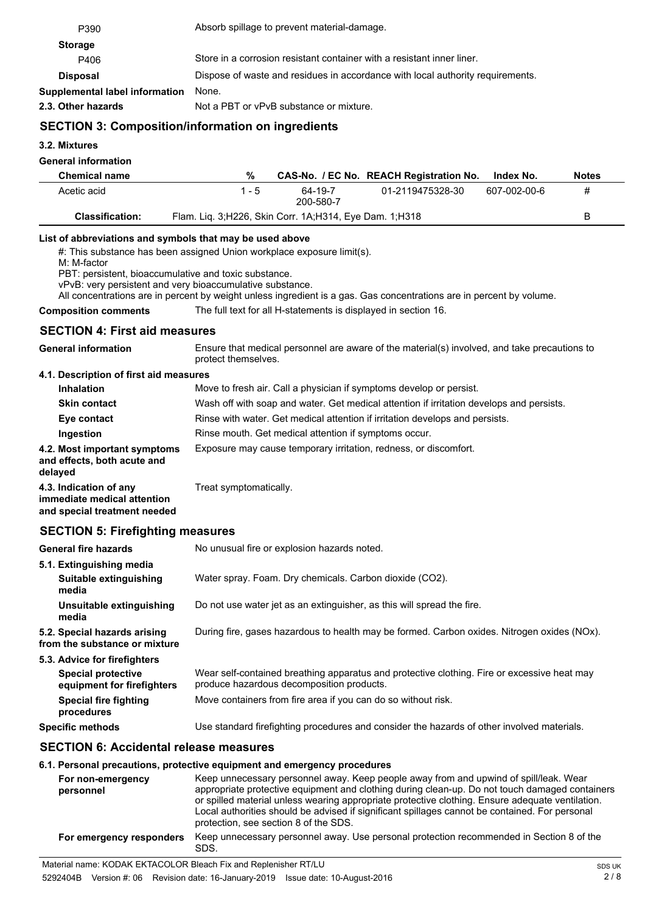| P390                                                                                                                                                                                                                                                                                                                                                                                            | Absorb spillage to prevent material-damage.                                                                                                                                                                                                                                                 |  |  |  |
|-------------------------------------------------------------------------------------------------------------------------------------------------------------------------------------------------------------------------------------------------------------------------------------------------------------------------------------------------------------------------------------------------|---------------------------------------------------------------------------------------------------------------------------------------------------------------------------------------------------------------------------------------------------------------------------------------------|--|--|--|
| <b>Storage</b>                                                                                                                                                                                                                                                                                                                                                                                  |                                                                                                                                                                                                                                                                                             |  |  |  |
| P406                                                                                                                                                                                                                                                                                                                                                                                            | Store in a corrosion resistant container with a resistant inner liner.                                                                                                                                                                                                                      |  |  |  |
| <b>Disposal</b>                                                                                                                                                                                                                                                                                                                                                                                 | Dispose of waste and residues in accordance with local authority requirements.                                                                                                                                                                                                              |  |  |  |
| Supplemental label information                                                                                                                                                                                                                                                                                                                                                                  | None.                                                                                                                                                                                                                                                                                       |  |  |  |
| 2.3. Other hazards                                                                                                                                                                                                                                                                                                                                                                              | Not a PBT or vPvB substance or mixture.                                                                                                                                                                                                                                                     |  |  |  |
|                                                                                                                                                                                                                                                                                                                                                                                                 | <b>SECTION 3: Composition/information on ingredients</b>                                                                                                                                                                                                                                    |  |  |  |
| 3.2. Mixtures                                                                                                                                                                                                                                                                                                                                                                                   |                                                                                                                                                                                                                                                                                             |  |  |  |
| <b>General information</b>                                                                                                                                                                                                                                                                                                                                                                      |                                                                                                                                                                                                                                                                                             |  |  |  |
| <b>Chemical name</b>                                                                                                                                                                                                                                                                                                                                                                            | %<br>CAS-No. / EC No. REACH Registration No.<br>Index No.<br><b>Notes</b>                                                                                                                                                                                                                   |  |  |  |
| Acetic acid                                                                                                                                                                                                                                                                                                                                                                                     | $1 - 5$<br>64-19-7<br>01-2119475328-30<br>607-002-00-6<br>#<br>200-580-7                                                                                                                                                                                                                    |  |  |  |
| <b>Classification:</b>                                                                                                                                                                                                                                                                                                                                                                          | B<br>Flam. Liq. 3;H226, Skin Corr. 1A;H314, Eye Dam. 1;H318                                                                                                                                                                                                                                 |  |  |  |
| List of abbreviations and symbols that may be used above<br>#: This substance has been assigned Union workplace exposure limit(s).<br>M: M-factor<br>PBT: persistent, bioaccumulative and toxic substance.<br>vPvB: very persistent and very bioaccumulative substance.<br>All concentrations are in percent by weight unless ingredient is a gas. Gas concentrations are in percent by volume. |                                                                                                                                                                                                                                                                                             |  |  |  |
| <b>Composition comments</b>                                                                                                                                                                                                                                                                                                                                                                     | The full text for all H-statements is displayed in section 16.                                                                                                                                                                                                                              |  |  |  |
| <b>SECTION 4: First aid measures</b>                                                                                                                                                                                                                                                                                                                                                            |                                                                                                                                                                                                                                                                                             |  |  |  |
| <b>General information</b>                                                                                                                                                                                                                                                                                                                                                                      | Ensure that medical personnel are aware of the material(s) involved, and take precautions to<br>protect themselves.                                                                                                                                                                         |  |  |  |
| 4.1. Description of first aid measures                                                                                                                                                                                                                                                                                                                                                          |                                                                                                                                                                                                                                                                                             |  |  |  |
| <b>Inhalation</b>                                                                                                                                                                                                                                                                                                                                                                               | Move to fresh air. Call a physician if symptoms develop or persist.                                                                                                                                                                                                                         |  |  |  |
| <b>Skin contact</b>                                                                                                                                                                                                                                                                                                                                                                             | Wash off with soap and water. Get medical attention if irritation develops and persists.                                                                                                                                                                                                    |  |  |  |
| Eye contact                                                                                                                                                                                                                                                                                                                                                                                     | Rinse with water. Get medical attention if irritation develops and persists.                                                                                                                                                                                                                |  |  |  |
| Ingestion                                                                                                                                                                                                                                                                                                                                                                                       | Rinse mouth. Get medical attention if symptoms occur.                                                                                                                                                                                                                                       |  |  |  |
| and effects, both acute and<br>delayed                                                                                                                                                                                                                                                                                                                                                          | Exposure may cause temporary irritation, redness, or discomfort.<br>4.2. Most important symptoms                                                                                                                                                                                            |  |  |  |
| 4.3. Indication of any<br>immediate medical attention<br>and special treatment needed                                                                                                                                                                                                                                                                                                           | Treat symptomatically.                                                                                                                                                                                                                                                                      |  |  |  |
| <b>SECTION 5: Firefighting measures</b>                                                                                                                                                                                                                                                                                                                                                         |                                                                                                                                                                                                                                                                                             |  |  |  |
| <b>General fire hazards</b>                                                                                                                                                                                                                                                                                                                                                                     | No unusual fire or explosion hazards noted.                                                                                                                                                                                                                                                 |  |  |  |
| 5.1. Extinguishing media<br>Suitable extinguishing<br>media                                                                                                                                                                                                                                                                                                                                     | Water spray. Foam. Dry chemicals. Carbon dioxide (CO2).                                                                                                                                                                                                                                     |  |  |  |
| Unsuitable extinguishing<br>media                                                                                                                                                                                                                                                                                                                                                               | Do not use water jet as an extinguisher, as this will spread the fire.                                                                                                                                                                                                                      |  |  |  |
| 5.2. Special hazards arising<br>from the substance or mixture                                                                                                                                                                                                                                                                                                                                   | During fire, gases hazardous to health may be formed. Carbon oxides. Nitrogen oxides (NOx).                                                                                                                                                                                                 |  |  |  |
| 5.3. Advice for firefighters<br><b>Special protective</b><br>equipment for firefighters                                                                                                                                                                                                                                                                                                         | Wear self-contained breathing apparatus and protective clothing. Fire or excessive heat may<br>produce hazardous decomposition products.                                                                                                                                                    |  |  |  |
| <b>Special fire fighting</b><br>procedures                                                                                                                                                                                                                                                                                                                                                      | Move containers from fire area if you can do so without risk.                                                                                                                                                                                                                               |  |  |  |
| <b>Specific methods</b>                                                                                                                                                                                                                                                                                                                                                                         | Use standard firefighting procedures and consider the hazards of other involved materials.                                                                                                                                                                                                  |  |  |  |
| <b>SECTION 6: Accidental release measures</b>                                                                                                                                                                                                                                                                                                                                                   |                                                                                                                                                                                                                                                                                             |  |  |  |
|                                                                                                                                                                                                                                                                                                                                                                                                 | 6.1. Personal precautions, protective equipment and emergency procedures                                                                                                                                                                                                                    |  |  |  |
| For non-emergency<br>personnel                                                                                                                                                                                                                                                                                                                                                                  | Keep unnecessary personnel away. Keep people away from and upwind of spill/leak. Wear<br>appropriate protective equipment and clothing during clean-up. Do not touch damaged containers<br>or spilled material unless wearing appropriate protective clothing. Ensure adequate ventilation. |  |  |  |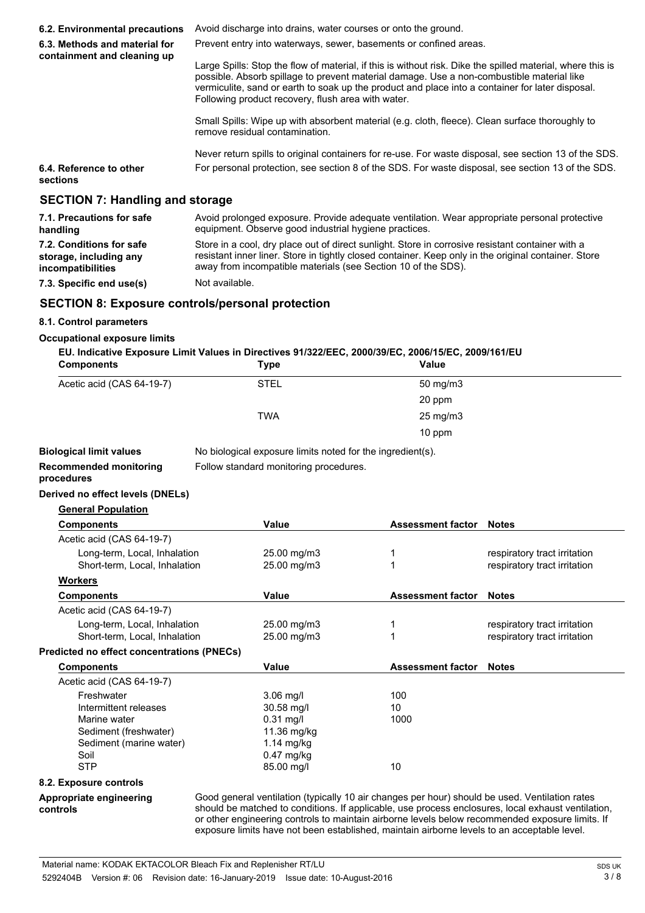| 6.2. Environmental precautions                               | Avoid discharge into drains, water courses or onto the ground.                                                                                                                                                                                                                                                                                                    |  |  |
|--------------------------------------------------------------|-------------------------------------------------------------------------------------------------------------------------------------------------------------------------------------------------------------------------------------------------------------------------------------------------------------------------------------------------------------------|--|--|
| 6.3. Methods and material for<br>containment and cleaning up | Prevent entry into waterways, sewer, basements or confined areas.                                                                                                                                                                                                                                                                                                 |  |  |
|                                                              | Large Spills: Stop the flow of material, if this is without risk. Dike the spilled material, where this is<br>possible. Absorb spillage to prevent material damage. Use a non-combustible material like<br>vermiculite, sand or earth to soak up the product and place into a container for later disposal.<br>Following product recovery, flush area with water. |  |  |
|                                                              | Small Spills: Wipe up with absorbent material (e.g. cloth, fleece). Clean surface thoroughly to<br>remove residual contamination.                                                                                                                                                                                                                                 |  |  |
|                                                              | Never return spills to original containers for re-use. For waste disposal, see section 13 of the SDS.                                                                                                                                                                                                                                                             |  |  |
| 6.4. Reference to other<br><b>sections</b>                   | For personal protection, see section 8 of the SDS. For waste disposal, see section 13 of the SDS.                                                                                                                                                                                                                                                                 |  |  |
| <b>SECTION 7: Handling and storage</b>                       |                                                                                                                                                                                                                                                                                                                                                                   |  |  |
| 7.1. Precautions for safe<br>handling                        | Avoid prolonged exposure. Provide adequate ventilation. Wear appropriate personal protective<br>equipment. Observe good industrial hygiene practices.                                                                                                                                                                                                             |  |  |
| 7.2. Conditions for safe                                     | Store in a cool, dry place out of direct sunlight. Store in corrosive resistant container with a                                                                                                                                                                                                                                                                  |  |  |

away from incompatible materials (see Section 10 of the SDS).

resistant inner liner. Store in tightly closed container. Keep only in the original container. Store

**7.3. Specific end use(s)** Not available.

**storage, including any incompatibilities**

# **SECTION 8: Exposure controls/personal protection**

## **8.1. Control parameters**

#### **Occupational exposure limits**

| EU. Indicative Exposure Limit Values in Directives 91/322/EEC, 2000/39/EC, 2006/15/EC, 2009/161/EU                                                                                                                             |             |              |  |
|--------------------------------------------------------------------------------------------------------------------------------------------------------------------------------------------------------------------------------|-------------|--------------|--|
| Companied in the Contract of the Contract of the Contract of the Contract of the Contract of the Contract of the Contract of the Contract of the Contract of the Contract of the Contract of the Contract of the Contract of t | <b>T.</b> . | $11 - 1 - 1$ |  |

| <b>Components</b>                                 | Type                                                       | Value                                                                                                                                                                                                                                                                                            |                                                                                                    |
|---------------------------------------------------|------------------------------------------------------------|--------------------------------------------------------------------------------------------------------------------------------------------------------------------------------------------------------------------------------------------------------------------------------------------------|----------------------------------------------------------------------------------------------------|
| Acetic acid (CAS 64-19-7)                         | <b>STEL</b>                                                | 50 mg/m3                                                                                                                                                                                                                                                                                         |                                                                                                    |
|                                                   |                                                            | 20 ppm                                                                                                                                                                                                                                                                                           |                                                                                                    |
|                                                   | <b>TWA</b>                                                 | 25 mg/m3                                                                                                                                                                                                                                                                                         |                                                                                                    |
|                                                   |                                                            | 10 ppm                                                                                                                                                                                                                                                                                           |                                                                                                    |
| <b>Biological limit values</b>                    | No biological exposure limits noted for the ingredient(s). |                                                                                                                                                                                                                                                                                                  |                                                                                                    |
| <b>Recommended monitoring</b><br>procedures       | Follow standard monitoring procedures.                     |                                                                                                                                                                                                                                                                                                  |                                                                                                    |
| Derived no effect levels (DNELs)                  |                                                            |                                                                                                                                                                                                                                                                                                  |                                                                                                    |
| <b>General Population</b>                         |                                                            |                                                                                                                                                                                                                                                                                                  |                                                                                                    |
| <b>Components</b>                                 | Value                                                      | <b>Assessment factor</b>                                                                                                                                                                                                                                                                         | <b>Notes</b>                                                                                       |
| Acetic acid (CAS 64-19-7)                         |                                                            |                                                                                                                                                                                                                                                                                                  |                                                                                                    |
| Long-term, Local, Inhalation                      | 25.00 mg/m3                                                | 1                                                                                                                                                                                                                                                                                                | respiratory tract irritation                                                                       |
| Short-term, Local, Inhalation                     | 25.00 mg/m3                                                | 1                                                                                                                                                                                                                                                                                                | respiratory tract irritation                                                                       |
| <b>Workers</b>                                    |                                                            |                                                                                                                                                                                                                                                                                                  |                                                                                                    |
| <b>Components</b>                                 | Value                                                      | <b>Assessment factor</b>                                                                                                                                                                                                                                                                         | <b>Notes</b>                                                                                       |
| Acetic acid (CAS 64-19-7)                         |                                                            |                                                                                                                                                                                                                                                                                                  |                                                                                                    |
| Long-term, Local, Inhalation                      | 25.00 mg/m3                                                | 1                                                                                                                                                                                                                                                                                                | respiratory tract irritation                                                                       |
| Short-term, Local, Inhalation                     | 25.00 mg/m3                                                | 1                                                                                                                                                                                                                                                                                                | respiratory tract irritation                                                                       |
| <b>Predicted no effect concentrations (PNECs)</b> |                                                            |                                                                                                                                                                                                                                                                                                  |                                                                                                    |
| <b>Components</b>                                 | Value                                                      | <b>Assessment factor</b>                                                                                                                                                                                                                                                                         | <b>Notes</b>                                                                                       |
| Acetic acid (CAS 64-19-7)                         |                                                            |                                                                                                                                                                                                                                                                                                  |                                                                                                    |
| Freshwater                                        | $3.06$ mg/l                                                | 100                                                                                                                                                                                                                                                                                              |                                                                                                    |
| Intermittent releases                             | 30.58 mg/l                                                 | 10                                                                                                                                                                                                                                                                                               |                                                                                                    |
| Marine water                                      | $0.31$ mg/l                                                | 1000                                                                                                                                                                                                                                                                                             |                                                                                                    |
| Sediment (freshwater)                             | 11.36 mg/kg                                                |                                                                                                                                                                                                                                                                                                  |                                                                                                    |
| Sediment (marine water)                           | $1.14$ mg/kg                                               |                                                                                                                                                                                                                                                                                                  |                                                                                                    |
| Soil                                              | $0.47$ mg/kg                                               |                                                                                                                                                                                                                                                                                                  |                                                                                                    |
| <b>STP</b>                                        | 85.00 mg/l                                                 | 10                                                                                                                                                                                                                                                                                               |                                                                                                    |
| 8.2. Exposure controls                            |                                                            |                                                                                                                                                                                                                                                                                                  |                                                                                                    |
| Appropriate engineering<br>controls               |                                                            | Good general ventilation (typically 10 air changes per hour) should be used. Ventilation rates<br>or other engineering controls to maintain airborne levels below recommended exposure limits. If<br>exposure limits have not been established, maintain airborne levels to an acceptable level. | should be matched to conditions. If applicable, use process enclosures, local exhaust ventilation, |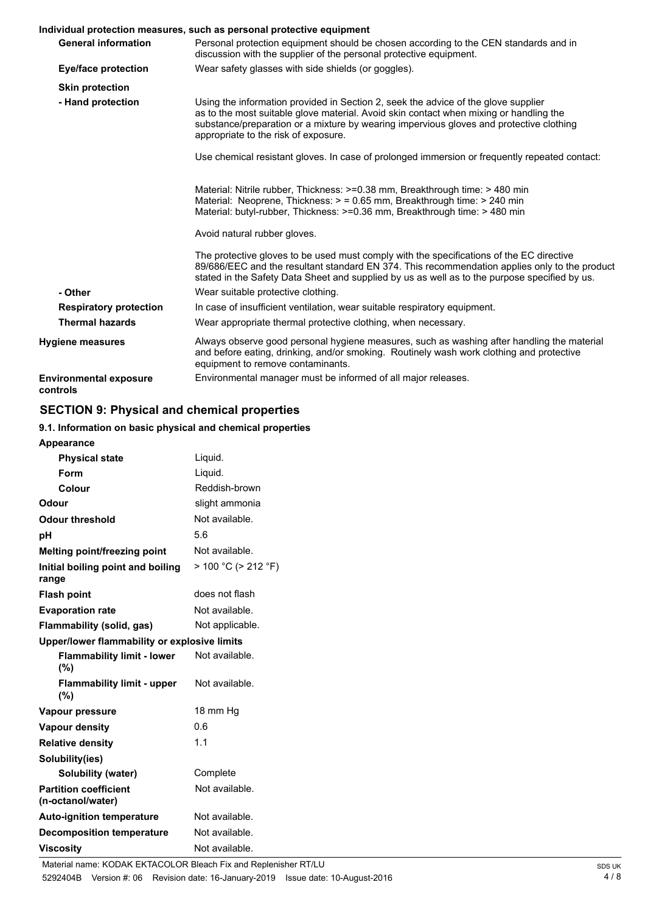# **Individual protection measures, such as personal protective equipment**

|                                           | Individual protection measures, such as personal protective equipment                                                                                                                                                                                                                                           |
|-------------------------------------------|-----------------------------------------------------------------------------------------------------------------------------------------------------------------------------------------------------------------------------------------------------------------------------------------------------------------|
| <b>General information</b>                | Personal protection equipment should be chosen according to the CEN standards and in<br>discussion with the supplier of the personal protective equipment.                                                                                                                                                      |
| Eye/face protection                       | Wear safety glasses with side shields (or goggles).                                                                                                                                                                                                                                                             |
| <b>Skin protection</b>                    |                                                                                                                                                                                                                                                                                                                 |
| - Hand protection                         | Using the information provided in Section 2, seek the advice of the glove supplier<br>as to the most suitable glove material. Avoid skin contact when mixing or handling the<br>substance/preparation or a mixture by wearing impervious gloves and protective clothing<br>appropriate to the risk of exposure. |
|                                           | Use chemical resistant gloves. In case of prolonged immersion or frequently repeated contact:                                                                                                                                                                                                                   |
|                                           | Material: Nitrile rubber, Thickness: >=0.38 mm, Breakthrough time: > 480 min<br>Material: Neoprene, Thickness: > = 0.65 mm, Breakthrough time: > 240 min<br>Material: butyl-rubber, Thickness: >=0.36 mm, Breakthrough time: > 480 min                                                                          |
|                                           | Avoid natural rubber gloves.                                                                                                                                                                                                                                                                                    |
|                                           | The protective gloves to be used must comply with the specifications of the EC directive<br>89/686/EEC and the resultant standard EN 374. This recommendation applies only to the product<br>stated in the Safety Data Sheet and supplied by us as well as to the purpose specified by us.                      |
| - Other                                   | Wear suitable protective clothing.                                                                                                                                                                                                                                                                              |
| <b>Respiratory protection</b>             | In case of insufficient ventilation, wear suitable respiratory equipment.                                                                                                                                                                                                                                       |
| <b>Thermal hazards</b>                    | Wear appropriate thermal protective clothing, when necessary.                                                                                                                                                                                                                                                   |
| <b>Hygiene measures</b>                   | Always observe good personal hygiene measures, such as washing after handling the material<br>and before eating, drinking, and/or smoking. Routinely wash work clothing and protective<br>equipment to remove contaminants.                                                                                     |
| <b>Environmental exposure</b><br>controls | Environmental manager must be informed of all major releases.                                                                                                                                                                                                                                                   |

# **SECTION 9: Physical and chemical properties**

## **9.1. Information on basic physical and chemical properties**

| <b>Appearance</b>                                 |                           |  |
|---------------------------------------------------|---------------------------|--|
| <b>Physical state</b>                             | Liquid.                   |  |
| Form                                              | Liquid.                   |  |
| Colour                                            | Reddish-brown             |  |
| Odour                                             | slight ammonia            |  |
| <b>Odour threshold</b>                            | Not available.            |  |
| рH                                                | 5.6                       |  |
| Melting point/freezing point                      | Not available.            |  |
| Initial boiling point and boiling<br>range        | $> 100 °C$ ( $> 212 °F$ ) |  |
| <b>Flash point</b>                                | does not flash            |  |
| <b>Evaporation rate</b>                           | Not available.            |  |
| Flammability (solid, gas)                         | Not applicable.           |  |
| Upper/lower flammability or explosive limits      |                           |  |
| <b>Flammability limit - lower</b><br>(%)          | Not available.            |  |
| <b>Flammability limit - upper</b><br>(%)          | Not available.            |  |
| Vapour pressure                                   | 18 mm Hg                  |  |
| <b>Vapour density</b>                             | 0.6                       |  |
| <b>Relative density</b>                           | 1.1                       |  |
| Solubility(ies)                                   |                           |  |
| Solubility (water)                                | Complete                  |  |
| <b>Partition coefficient</b><br>(n-octanol/water) | Not available.            |  |
| <b>Auto-ignition temperature</b>                  | Not available.            |  |
| <b>Decomposition temperature</b>                  | Not available.            |  |
| <b>Viscositv</b>                                  | Not available.            |  |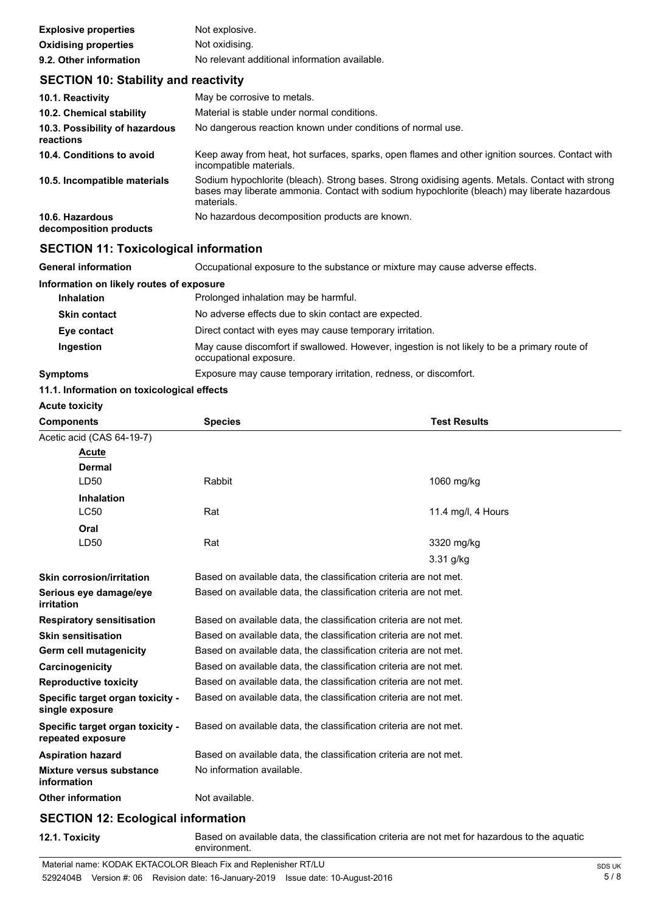| <b>Explosive properties</b> | Not explosive.                                |
|-----------------------------|-----------------------------------------------|
| <b>Oxidising properties</b> | Not oxidising.                                |
| 9.2. Other information      | No relevant additional information available. |

# **SECTION 10: Stability and reactivity**

| 10.1. Reactivity                            | May be corrosive to metals.                                                                                                                                                                                    |
|---------------------------------------------|----------------------------------------------------------------------------------------------------------------------------------------------------------------------------------------------------------------|
| 10.2. Chemical stability                    | Material is stable under normal conditions.                                                                                                                                                                    |
| 10.3. Possibility of hazardous<br>reactions | No dangerous reaction known under conditions of normal use.                                                                                                                                                    |
| 10.4. Conditions to avoid                   | Keep away from heat, hot surfaces, sparks, open flames and other ignition sources. Contact with<br>incompatible materials.                                                                                     |
| 10.5. Incompatible materials                | Sodium hypochlorite (bleach). Strong bases. Strong oxidising agents. Metals. Contact with strong<br>bases may liberate ammonia. Contact with sodium hypochlorite (bleach) may liberate hazardous<br>materials. |
| 10.6. Hazardous<br>decomposition products   | No hazardous decomposition products are known.                                                                                                                                                                 |

# **SECTION 11: Toxicological information**

| <b>General information</b>               | Occupational exposure to the substance or mixture may cause adverse effects.                                           |
|------------------------------------------|------------------------------------------------------------------------------------------------------------------------|
| Information on likely routes of exposure |                                                                                                                        |
| <b>Inhalation</b>                        | Prolonged inhalation may be harmful.                                                                                   |
| <b>Skin contact</b>                      | No adverse effects due to skin contact are expected.                                                                   |
| Eye contact                              | Direct contact with eyes may cause temporary irritation.                                                               |
| Ingestion                                | May cause discomfort if swallowed. However, ingestion is not likely to be a primary route of<br>occupational exposure. |
| <b>Symptoms</b>                          | Exposure may cause temporary irritation, redness, or discomfort.                                                       |

## **11.1. Information on toxicological effects**

**Acute toxicity**

| <b>Components</b>                                     | <b>Species</b>                                                    | <b>Test Results</b> |  |
|-------------------------------------------------------|-------------------------------------------------------------------|---------------------|--|
| Acetic acid (CAS 64-19-7)                             |                                                                   |                     |  |
| Acute                                                 |                                                                   |                     |  |
| Dermal                                                |                                                                   |                     |  |
| LD50                                                  | Rabbit                                                            | 1060 mg/kg          |  |
| <b>Inhalation</b>                                     |                                                                   |                     |  |
| <b>LC50</b>                                           | Rat                                                               | 11.4 mg/l, 4 Hours  |  |
| Oral                                                  |                                                                   |                     |  |
| LD50                                                  | Rat                                                               | 3320 mg/kg          |  |
|                                                       |                                                                   | $3.31$ g/kg         |  |
| <b>Skin corrosion/irritation</b>                      | Based on available data, the classification criteria are not met. |                     |  |
| Serious eye damage/eye<br>irritation                  | Based on available data, the classification criteria are not met. |                     |  |
| <b>Respiratory sensitisation</b>                      | Based on available data, the classification criteria are not met. |                     |  |
| <b>Skin sensitisation</b>                             | Based on available data, the classification criteria are not met. |                     |  |
| <b>Germ cell mutagenicity</b>                         | Based on available data, the classification criteria are not met. |                     |  |
| Carcinogenicity                                       | Based on available data, the classification criteria are not met. |                     |  |
| <b>Reproductive toxicity</b>                          | Based on available data, the classification criteria are not met. |                     |  |
| Specific target organ toxicity -<br>single exposure   | Based on available data, the classification criteria are not met. |                     |  |
| Specific target organ toxicity -<br>repeated exposure | Based on available data, the classification criteria are not met. |                     |  |
| <b>Aspiration hazard</b>                              | Based on available data, the classification criteria are not met. |                     |  |
| Mixture versus substance<br>information               | No information available.                                         |                     |  |
| <b>Other information</b>                              | Not available.                                                    |                     |  |
| <b>SECTION 12: Ecological information</b>             |                                                                   |                     |  |

**12.1. Toxicity** Based on available data, the classification criteria are not met for hazardous to the aquatic environment.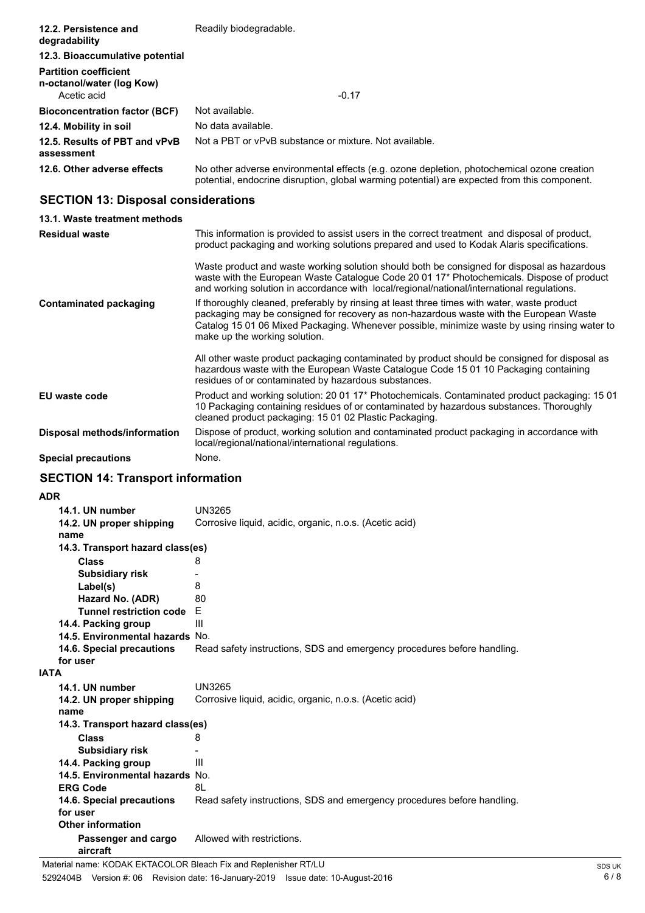| 12.2. Persistence and<br>degradability                                   | Readily biodegradable.                                                                                                                                                                     |
|--------------------------------------------------------------------------|--------------------------------------------------------------------------------------------------------------------------------------------------------------------------------------------|
| 12.3. Bioaccumulative potential                                          |                                                                                                                                                                                            |
| <b>Partition coefficient</b><br>n-octanol/water (log Kow)<br>Acetic acid | $-0.17$                                                                                                                                                                                    |
| <b>Bioconcentration factor (BCF)</b>                                     | Not available.                                                                                                                                                                             |
| 12.4. Mobility in soil                                                   | No data available.                                                                                                                                                                         |
| 12.5. Results of PBT and vPvB<br>assessment                              | Not a PBT or vPvB substance or mixture. Not available.                                                                                                                                     |
| 12.6. Other adverse effects                                              | No other adverse environmental effects (e.g. ozone depletion, photochemical ozone creation<br>potential, endocrine disruption, global warming potential) are expected from this component. |

# **SECTION 13: Disposal considerations**

| 13.1. Waste treatment methods |                                                                                                                                                                                                                                                                                                                         |
|-------------------------------|-------------------------------------------------------------------------------------------------------------------------------------------------------------------------------------------------------------------------------------------------------------------------------------------------------------------------|
| <b>Residual waste</b>         | This information is provided to assist users in the correct treatment and disposal of product,<br>product packaging and working solutions prepared and used to Kodak Alaris specifications.                                                                                                                             |
|                               | Waste product and waste working solution should both be consigned for disposal as hazardous<br>waste with the European Waste Catalogue Code 20 01 17* Photochemicals. Dispose of product<br>and working solution in accordance with local/regional/national/international regulations.                                  |
| Contaminated packaging        | If thoroughly cleaned, preferably by rinsing at least three times with water, waste product<br>packaging may be consigned for recovery as non-hazardous waste with the European Waste<br>Catalog 15 01 06 Mixed Packaging. Whenever possible, minimize waste by using rinsing water to<br>make up the working solution. |
|                               | All other waste product packaging contaminated by product should be consigned for disposal as<br>hazardous waste with the European Waste Catalogue Code 15 01 10 Packaging containing<br>residues of or contaminated by hazardous substances.                                                                           |
| <b>EU</b> waste code          | Product and working solution: 20 01 17* Photochemicals. Contaminated product packaging: 15 01<br>10 Packaging containing residues of or contaminated by hazardous substances. Thoroughly<br>cleaned product packaging: 15 01 02 Plastic Packaging.                                                                      |
| Disposal methods/information  | Dispose of product, working solution and contaminated product packaging in accordance with<br>local/regional/national/international regulations.                                                                                                                                                                        |
| <b>Special precautions</b>    | None.                                                                                                                                                                                                                                                                                                                   |

# **SECTION 14: Transport information**

**ADR**

|             | 14.1. UN number                  | <b>UN3265</b>                                                           |
|-------------|----------------------------------|-------------------------------------------------------------------------|
|             | 14.2. UN proper shipping         | Corrosive liquid, acidic, organic, n.o.s. (Acetic acid)                 |
|             | name                             |                                                                         |
|             | 14.3. Transport hazard class(es) |                                                                         |
|             | Class                            | 8                                                                       |
|             | <b>Subsidiary risk</b>           |                                                                         |
|             | Label(s)                         | 8                                                                       |
|             | Hazard No. (ADR)                 | 80                                                                      |
|             | Tunnel restriction code E        |                                                                         |
|             | 14.4. Packing group              | Ш                                                                       |
|             | 14.5. Environmental hazards No.  |                                                                         |
|             | 14.6. Special precautions        | Read safety instructions, SDS and emergency procedures before handling. |
|             | for user                         |                                                                         |
| <b>IATA</b> |                                  |                                                                         |
|             | 14.1. UN number                  | UN3265                                                                  |
|             | 14.2. UN proper shipping         | Corrosive liquid, acidic, organic, n.o.s. (Acetic acid)                 |
|             | name                             |                                                                         |
|             | 14.3. Transport hazard class(es) |                                                                         |
|             | <b>Class</b>                     | 8                                                                       |
|             | <b>Subsidiary risk</b>           |                                                                         |
|             | 14.4. Packing group              | Ш                                                                       |
|             | 14.5. Environmental hazards No.  |                                                                         |
|             | <b>ERG Code</b>                  | 8L                                                                      |
|             | 14.6. Special precautions        | Read safety instructions, SDS and emergency procedures before handling. |
|             | for user                         |                                                                         |
|             | <b>Other information</b>         |                                                                         |
|             | Passenger and cargo<br>aircraft  | Allowed with restrictions.                                              |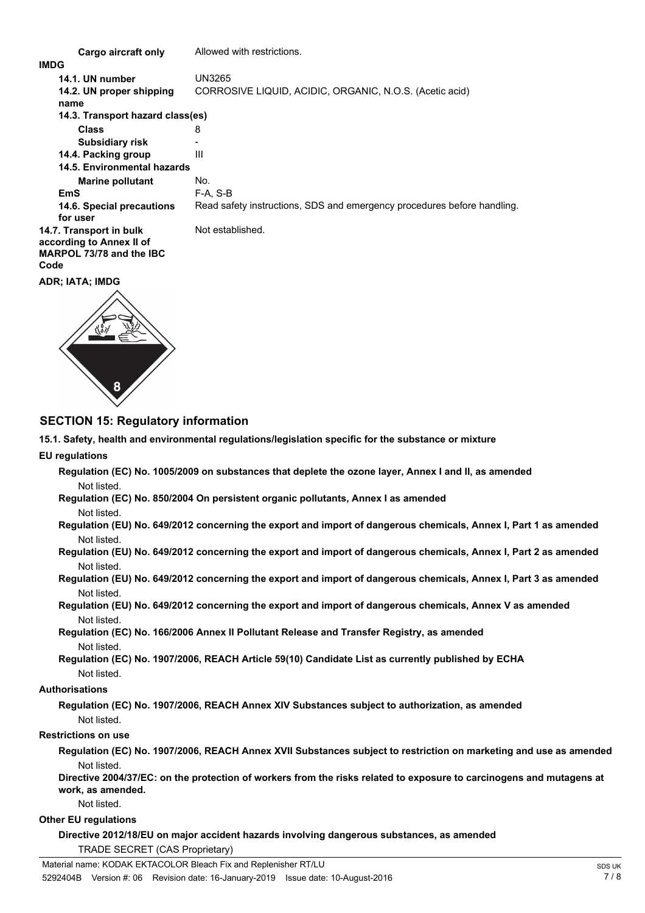**Cargo aircraft only** Allowed with restrictions. **IMDG 14.1. UN number** UN3265 **14.2. UN proper shipping** CORROSIVE LIQUID, ACIDIC, ORGANIC, N.O.S. (Acetic acid) **name Class** 8 **14.3. Transport hazard class(es) Subsidiary risk 14.4. Packing group** III **Marine pollutant** No. **14.5. Environmental hazards EmS** F-A, S-B **14.6. Special precautions** Read safety instructions, SDS and emergency procedures before handling. **for user 14.7. Transport in bulk** Not established. **according to Annex II of MARPOL 73/78 and the IBC Code**

**ADR; IATA; IMDG**



## **SECTION 15: Regulatory information**

**15.1. Safety, health and environmental regulations/legislation specific for the substance or mixture**

#### **EU regulations**

**Regulation (EC) No. 1005/2009 on substances that deplete the ozone layer, Annex I and II, as amended** Not listed.

#### **Regulation (EC) No. 850/2004 On persistent organic pollutants, Annex I as amended** Not listed.

- **Regulation (EU) No. 649/2012 concerning the export and import of dangerous chemicals, Annex I, Part 1 as amended** Not listed.
- **Regulation (EU) No. 649/2012 concerning the export and import of dangerous chemicals, Annex I, Part 2 as amended** Not listed.
- **Regulation (EU) No. 649/2012 concerning the export and import of dangerous chemicals, Annex I, Part 3 as amended** Not listed.
- **Regulation (EU) No. 649/2012 concerning the export and import of dangerous chemicals, Annex V as amended** Not listed.

**Regulation (EC) No. 166/2006 Annex II Pollutant Release and Transfer Registry, as amended** Not listed.

**Regulation (EC) No. 1907/2006, REACH Article 59(10) Candidate List as currently published by ECHA** Not listed.

#### **Authorisations**

**Regulation (EC) No. 1907/2006, REACH Annex XIV Substances subject to authorization, as amended** Not listed.

#### **Restrictions on use**

**Regulation (EC) No. 1907/2006, REACH Annex XVII Substances subject to restriction on marketing and use as amended** Not listed.

**Directive 2004/37/EC: on the protection of workers from the risks related to exposure to carcinogens and mutagens at work, as amended.**

#### Not listed.

### **Other EU regulations**

**Directive 2012/18/EU on major accident hazards involving dangerous substances, as amended** TRADE SECRET (CAS Proprietary)